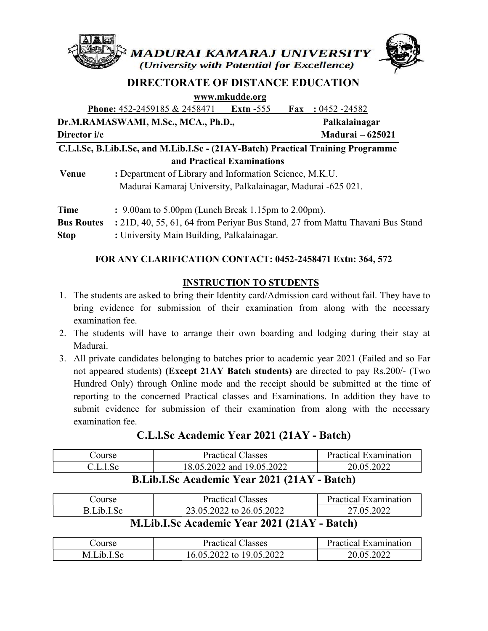

# DIRECTORATE OF DISTANCE EDUCATION

www.mkudde.org

|                                                                                  | <b>Phone:</b> 452-2459185 & 2458471                          | Extn $-555$ | Fax | $:0452 - 24582$                                                               |  |
|----------------------------------------------------------------------------------|--------------------------------------------------------------|-------------|-----|-------------------------------------------------------------------------------|--|
| Dr.M.RAMASWAMI, M.Sc., MCA., Ph.D.,                                              |                                                              |             |     | Palkalainagar                                                                 |  |
| Director i/c                                                                     |                                                              |             |     | <b>Madurai</b> – 625021                                                       |  |
| C.L.I.Sc, B.Lib.I.Sc, and M.Lib.I.Sc - (21AY-Batch) Practical Training Programme |                                                              |             |     |                                                                               |  |
| and Practical Examinations                                                       |                                                              |             |     |                                                                               |  |
| Venue                                                                            | : Department of Library and Information Science, M.K.U.      |             |     |                                                                               |  |
|                                                                                  | Madurai Kamaraj University, Palkalainagar, Madurai -625 021. |             |     |                                                                               |  |
| <b>Time</b>                                                                      | : $9.00$ am to $5.00$ pm (Lunch Break 1.15pm to $2.00$ pm).  |             |     |                                                                               |  |
| <b>Bus Routes</b>                                                                |                                                              |             |     | : 21D, 40, 55, 61, 64 from Periyar Bus Stand, 27 from Mattu Thavani Bus Stand |  |
| <b>Stop</b>                                                                      | : University Main Building, Palkalainagar.                   |             |     |                                                                               |  |

### FOR ANY CLARIFICATION CONTACT: 0452-2458471 Extn: 364, 572

#### INSTRUCTION TO STUDENTS

- 1. The students are asked to bring their Identity card/Admission card without fail. They have to bring evidence for submission of their examination from along with the necessary examination fee.
- 2. The students will have to arrange their own boarding and lodging during their stay at Madurai. bring evidence for submission of their examination from along with the necess<br>examination fee.<br>The students will have to arrange their own boarding and lodging during their stay<br>Madurai.<br>All private candidates belonging to
- 3. All private candidates belonging to batches prior to academic year 2021 (Failed and so Far not appeared students) (Except 21AY Batch students) are directed to pay Rs.200/- (Two Hundred Only) through Online mode and the receipt should be submitted at the time of reporting to the concerned Practical classes and Examinations. In addition they have to submit evidence for submission of their examination from along with the necessary examination fee.

## C.L.l.Sc Academic Year Year 2021 (21AY - Batch)

| Course                            | <b>Practical Classes</b>  | <b>Practical Examination</b> |  |
|-----------------------------------|---------------------------|------------------------------|--|
| $\sim$ L l Sc.                    | 18.05.2022 and 19.05.2022 | 20.05.2022                   |  |
| <b>DI'UICA I 'Y AOAL/ALAVDAIN</b> |                           |                              |  |

# B.Lib.I.Sc Academic Year 2021 (21AY - Batch)

| Jourse . | <b>Practical Classes</b>                                                                                                                                                                                                                                                                                                                                                                                                                                                                        | Practical Examination |
|----------|-------------------------------------------------------------------------------------------------------------------------------------------------------------------------------------------------------------------------------------------------------------------------------------------------------------------------------------------------------------------------------------------------------------------------------------------------------------------------------------------------|-----------------------|
| Lih I    | 23.05.2022 to 26.05.2022                                                                                                                                                                                                                                                                                                                                                                                                                                                                        | 27.05.2022            |
|          | $\blacksquare$ $\blacksquare$ $\blacksquare$ $\blacksquare$ $\blacksquare$ $\blacksquare$ $\blacksquare$ $\blacksquare$ $\blacksquare$ $\blacksquare$ $\blacksquare$ $\blacksquare$ $\blacksquare$ $\blacksquare$ $\blacksquare$ $\blacksquare$ $\blacksquare$ $\blacksquare$ $\blacksquare$ $\blacksquare$ $\blacksquare$ $\blacksquare$ $\blacksquare$ $\blacksquare$ $\blacksquare$ $\blacksquare$ $\blacksquare$ $\blacksquare$ $\blacksquare$ $\blacksquare$ $\blacksquare$ $\blacks$<br>. |                       |

# M.Lib.I.Sc Academic Year 2021 (21AY - Batch)

| Jourse   | lasses<br>Practical                        | Examination<br>Practical |
|----------|--------------------------------------------|--------------------------|
| M<br>1 h | 19.05.2022<br>70 D<br>LO.U.<br>TO.<br>∠∪∠∠ | .2022                    |